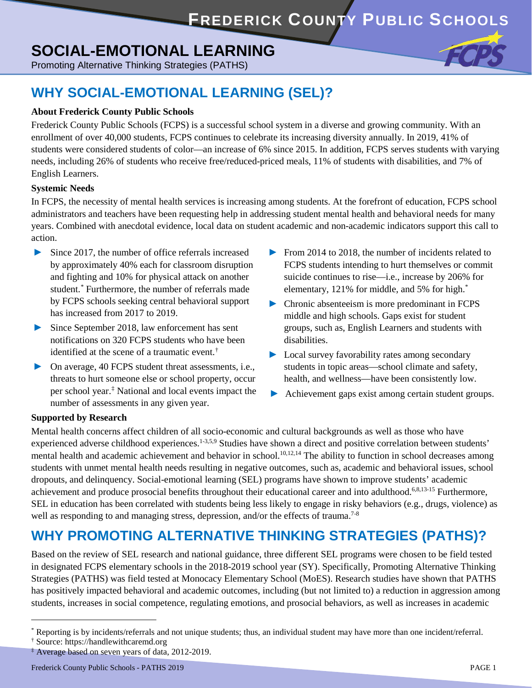# **SOCIAL-EMOTIONAL LEARNING**

Promoting Alternative Thinking Strategies (PATHS)

### **WHY SOCIAL-EMOTIONAL LEARNING (SEL)?**

### **About Frederick County Public Schools**

Frederick County Public Schools (FCPS) is a successful school system in a diverse and growing community. With an enrollment of over 40,000 students, FCPS continues to celebrate its increasing diversity annually. In 2019, 41% of students were considered students of color—an increase of 6% since 2015. In addition, FCPS serves students with varying needs, including 26% of students who receive free/reduced-priced meals, 11% of students with disabilities, and 7% of English Learners.

#### **Systemic Needs**

In FCPS, the necessity of mental health services is increasing among students. At the forefront of education, FCPS school administrators and teachers have been requesting help in addressing student mental health and behavioral needs for many years. Combined with anecdotal evidence, local data on student academic and non-academic indicators support this call to action.

- <span id="page-0-0"></span>**►** Since 2017, the number of office referrals increased by approximately 40% each for classroom disruption and fighting and 10% for physical attack on another student.[\\*](#page-0-1) Furthermore, the number of referrals made by FCPS schools seeking central behavioral support has increased from 2017 to 2019.
- **►** Since September 2018, law enforcement has sent notifications on 320 FCPS students who have been identified at the scene of a traumatic event.<sup>[†](#page-0-2)</sup>
- **►** On average, 40 FCPS student threat assessments, i.e., threats to hurt someone else or school property, occur per school year[.‡](#page-0-3) National and local events impact the number of assessments in any given year.
- **►** From 2014 to 2018, the number of incidents related to FCPS students intending to hurt themselves or commit suicide continues to rise—i.e., increase by 206% for elementary, 121% for middle, and 5% for high[.\\*](#page-0-0)
- **►** Chronic absenteeism is more predominant in FCPS middle and high schools. Gaps exist for student groups, such as, English Learners and students with disabilities.
- **►** Local survey favorability rates among secondary students in topic areas—school climate and safety, health, and wellness—have been consistently low.
- **►** Achievement gaps exist among certain student groups.

#### **Supported by Research**

Mental health concerns affect children of all socio-economic and cultural backgrounds as well as those who have experienced adverse childhood experiences.<sup>1-3,5,9</sup> Studies have shown a direct and positive correlation between students' mental health and academic achievement and behavior in school.<sup>10,12,14</sup> The ability to function in school decreases among students with unmet mental health needs resulting in negative outcomes, such as, academic and behavioral issues, school dropouts, and delinquency. Social-emotional learning (SEL) programs have shown to improve students' academic achievement and produce prosocial benefits throughout their educational career and into adulthood.<sup>6,8,13-15</sup> Furthermore, SEL in education has been correlated with students being less likely to engage in risky behaviors (e.g., drugs, violence) as well as responding to and managing stress, depression, and/or the effects of trauma.<sup>7-8</sup>

### **WHY PROMOTING ALTERNATIVE THINKING STRATEGIES (PATHS)?**

Based on the review of SEL research and national guidance, three different SEL programs were chosen to be field tested in designated FCPS elementary schools in the 2018-2019 school year (SY). Specifically, Promoting Alternative Thinking Strategies (PATHS) was field tested at Monocacy Elementary School (MoES). Research studies have shown that PATHS has positively impacted behavioral and academic outcomes, including (but not limited to) a reduction in aggression among students, increases in social competence, regulating emotions, and prosocial behaviors, as well as increases in academic

 $\overline{a}$ 

<span id="page-0-1"></span><sup>\*</sup> Reporting is by incidents/referrals and not unique students; thus, an individual student may have more than one incident/referral.

<span id="page-0-2"></span><sup>†</sup> Source: [https://handlewithcaremd.org](https://handlewithcaremd.org/)

<span id="page-0-3"></span><sup>&</sup>lt;sup>‡</sup> Average based on seven years of data, 2012-2019.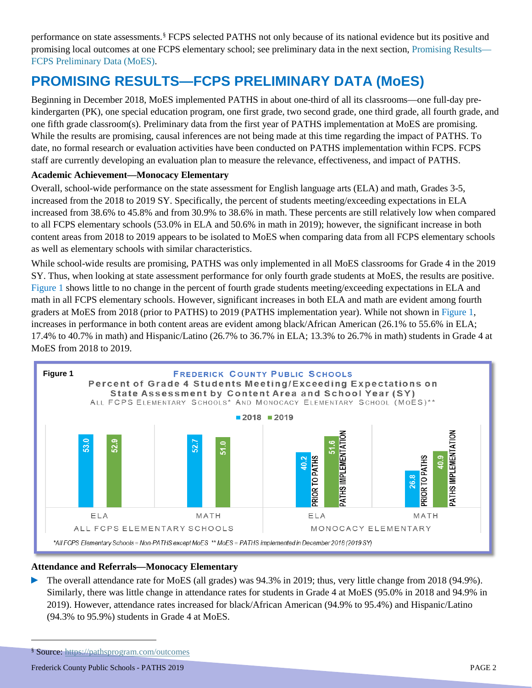performance on state assessments. [§](#page-1-0) FCPS selected PATHS not only because of its national evidence but its positive and promising local outcomes at one FCPS elementary school; see preliminary data in the next section, Promising Results— FCPS Preliminary Data (MoES).

# **PROMISING RESULTS—FCPS PRELIMINARY DATA (MoES)**

Beginning in December 2018, MoES implemented PATHS in about one-third of all its classrooms—one full-day prekindergarten (PK), one special education program, one first grade, two second grade, one third grade, all fourth grade, and one fifth grade classroom(s). Preliminary data from the first year of PATHS implementation at MoES are promising. While the results are promising, causal inferences are not being made at this time regarding the impact of PATHS. To date, no formal research or evaluation activities have been conducted on PATHS implementation within FCPS. FCPS staff are currently developing an evaluation plan to measure the relevance, effectiveness, and impact of PATHS.

### **Academic Achievement—Monocacy Elementary**

Overall, school-wide performance on the state assessment for English language arts (ELA) and math, Grades 3-5, increased from the 2018 to 2019 SY. Specifically, the percent of students meeting/exceeding expectations in ELA increased from 38.6% to 45.8% and from 30.9% to 38.6% in math. These percents are still relatively low when compared to all FCPS elementary schools (53.0% in ELA and 50.6% in math in 2019); however, the significant increase in both content areas from 2018 to 2019 appears to be isolated to MoES when comparing data from all FCPS elementary schools as well as elementary schools with similar characteristics.

While school-wide results are promising, PATHS was only implemented in all MoES classrooms for Grade 4 in the 2019 SY. Thus, when looking at state assessment performance for only fourth grade students at MoES, the results are positive. Figure 1 shows little to no change in the percent of fourth grade students meeting/exceeding expectations in ELA and math in all FCPS elementary schools. However, significant increases in both ELA and math are evident among fourth graders at MoES from 2018 (prior to PATHS) to 2019 (PATHS implementation year). While not shown in Figure 1, increases in performance in both content areas are evident among black/African American (26.1% to 55.6% in ELA; 17.4% to 40.7% in math) and Hispanic/Latino (26.7% to 36.7% in ELA; 13.3% to 26.7% in math) students in Grade 4 at MoES from 2018 to 2019.



#### **Attendance and Referrals—Monocacy Elementary**

► The overall attendance rate for MoES (all grades) was 94.3% in 2019; thus, very little change from 2018 (94.9%). Similarly, there was little change in attendance rates for students in Grade 4 at MoES (95.0% in 2018 and 94.9% in 2019). However, attendance rates increased for black/African American (94.9% to 95.4%) and Hispanic/Latino (94.3% to 95.9%) students in Grade 4 at MoES.

 $\overline{a}$ 

<span id="page-1-0"></span><sup>§</sup> Source:<https://pathsprogram.com/outcomes>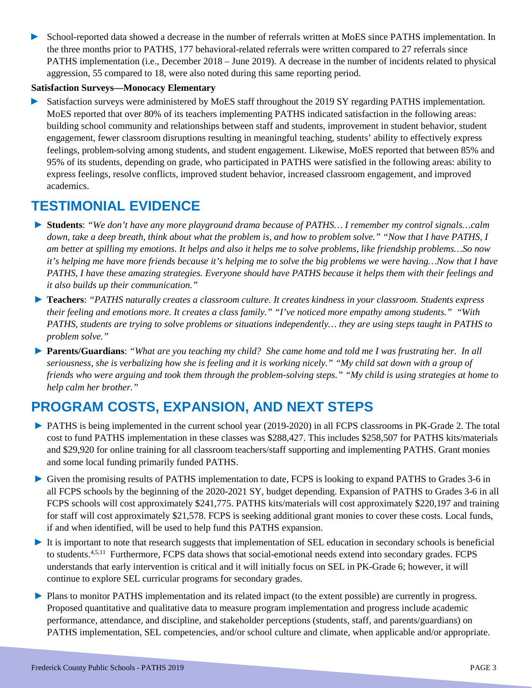► School-reported data showed a decrease in the number of referrals written at MoES since PATHS implementation. In the three months prior to PATHS, 177 behavioral-related referrals were written compared to 27 referrals since PATHS implementation (i.e., December 2018 – June 2019). A decrease in the number of incidents related to physical aggression, 55 compared to 18, were also noted during this same reporting period.

#### **Satisfaction Surveys—Monocacy Elementary**

► Satisfaction surveys were administered by MoES staff throughout the 2019 SY regarding PATHS implementation. MoES reported that over 80% of its teachers implementing PATHS indicated satisfaction in the following areas: building school community and relationships between staff and students, improvement in student behavior, student engagement, fewer classroom disruptions resulting in meaningful teaching, students' ability to effectively express feelings, problem-solving among students, and student engagement. Likewise, MoES reported that between 85% and 95% of its students, depending on grade, who participated in PATHS were satisfied in the following areas: ability to express feelings, resolve conflicts, improved student behavior, increased classroom engagement, and improved academics.

### **TESTIMONIAL EVIDENCE**

- ► **Students**: *"We don't have any more playground drama because of PATHS… I remember my control signals…calm down, take a deep breath, think about what the problem is, and how to problem solve." "Now that I have PATHS, I am better at spilling my emotions. It helps and also it helps me to solve problems, like friendship problems…So now it's helping me have more friends because it's helping me to solve the big problems we were having...Now that I have PATHS, I have these amazing strategies. Everyone should have PATHS because it helps them with their feelings and it also builds up their communication."*
- ► **Teachers**: *"PATHS naturally creates a classroom culture. It creates kindness in your classroom. Students express their feeling and emotions more. It creates a class family." "I've noticed more empathy among students." "With PATHS, students are trying to solve problems or situations independently… they are using steps taught in PATHS to problem solve."*
- ► **Parents/Guardians**: *"What are you teaching my child? She came home and told me I was frustrating her. In all seriousness, she is verbalizing how she is feeling and it is working nicely." "My child sat down with a group of friends who were arguing and took them through the problem-solving steps." "My child is using strategies at home to help calm her brother."*

## **PROGRAM COSTS, EXPANSION, AND NEXT STEPS**

- ► PATHS is being implemented in the current school year (2019-2020) in all FCPS classrooms in PK-Grade 2. The total cost to fund PATHS implementation in these classes was \$288,427. This includes \$258,507 for PATHS kits/materials and \$29,920 for online training for all classroom teachers/staff supporting and implementing PATHS. Grant monies and some local funding primarily funded PATHS.
- ► Given the promising results of PATHS implementation to date, FCPS is looking to expand PATHS to Grades 3-6 in all FCPS schools by the beginning of the 2020-2021 SY, budget depending. Expansion of PATHS to Grades 3-6 in all FCPS schools will cost approximately \$241,775. PATHS kits/materials will cost approximately \$220,197 and training for staff will cost approximately \$21,578. FCPS is seeking additional grant monies to cover these costs. Local funds, if and when identified, will be used to help fund this PATHS expansion.
- ► It is important to note that research suggests that implementation of SEL education in secondary schools is beneficial to students.<sup>4,5,11</sup> Furthermore, FCPS data shows that social-emotional needs extend into secondary grades. FCPS understands that early intervention is critical and it will initially focus on SEL in PK-Grade 6; however, it will continue to explore SEL curricular programs for secondary grades.
- ► Plans to monitor PATHS implementation and its related impact (to the extent possible) are currently in progress. Proposed quantitative and qualitative data to measure program implementation and progress include academic performance, attendance, and discipline, and stakeholder perceptions (students, staff, and parents/guardians) on PATHS implementation, SEL competencies, and/or school culture and climate, when applicable and/or appropriate.